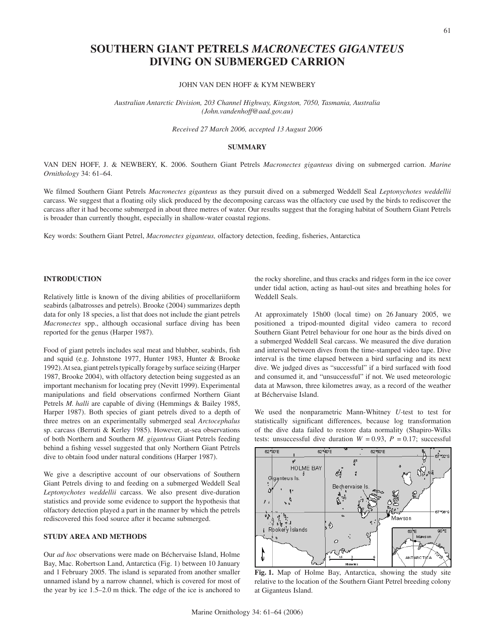## JOHN VAN DEN HOFF & KYM NEWBERY

*Australian Antarctic Division, 203 Channel Highway, Kingston, 7050, Tasmania, Australia (John.vandenhoff@aad.gov.au)*

## *Received 27 March 2006, accepted 13 August 2006*

## **SUMMARY**

VAN DEN HOFF, J. & NEWBERY, K. 2006. Southern Giant Petrels *Macronectes giganteus* diving on submerged carrion. *Marine Ornithology* 34: 61–64.

We filmed Southern Giant Petrels *Macronectes giganteus* as they pursuit dived on a submerged Weddell Seal *Leptonychotes weddellii* carcass. We suggest that a floating oily slick produced by the decomposing carcass was the olfactory cue used by the birds to rediscover the carcass after it had become submerged in about three metres of water. Our results suggest that the foraging habitat of Southern Giant Petrels is broader than currently thought, especially in shallow-water coastal regions.

Key words: Southern Giant Petrel, *Macronectes giganteus,* olfactory detection, feeding, fisheries, Antarctica

## **INTRODUCTION**

Relatively little is known of the diving abilities of procellariiform seabirds (albatrosses and petrels). Brooke (2004) summarizes depth data for only 18 species, a list that does not include the giant petrels *Macronectes* spp., although occasional surface diving has been reported for the genus (Harper 1987).

Food of giant petrels includes seal meat and blubber, seabirds, fish and squid (e.g. Johnstone 1977, Hunter 1983, Hunter & Brooke 1992). At sea, giant petrels typically forage by surface seizing (Harper 1987, Brooke 2004), with olfactory detection being suggested as an important mechanism for locating prey (Nevitt 1999). Experimental manipulations and field observations confirmed Northern Giant Petrels *M. halli* are capable of diving (Hemmings & Bailey 1985, Harper 1987). Both species of giant petrels dived to a depth of three metres on an experimentally submerged seal *Arctocephalus* sp. carcass (Berruti & Kerley 1985). However, at-sea observations of both Northern and Southern *M. giganteus* Giant Petrels feeding behind a fishing vessel suggested that only Northern Giant Petrels dive to obtain food under natural conditions (Harper 1987).

We give a descriptive account of our observations of Southern Giant Petrels diving to and feeding on a submerged Weddell Seal *Leptonychotes weddellii* carcass. We also present dive-duration statistics and provide some evidence to support the hypothesis that olfactory detection played a part in the manner by which the petrels rediscovered this food source after it became submerged.

# **STUDY AREA AND METHODS**

Our *ad hoc* observations were made on Béchervaise Island, Holme Bay, Mac. Robertson Land, Antarctica (Fig. 1) between 10 January and 1 February 2005. The island is separated from another smaller unnamed island by a narrow channel, which is covered for most of the year by ice 1.5–2.0 m thick. The edge of the ice is anchored to

the rocky shoreline, and thus cracks and ridges form in the ice cover under tidal action, acting as haul-out sites and breathing holes for Weddell Seals.

At approximately 15h00 (local time) on 26 January 2005, we positioned a tripod-mounted digital video camera to record Southern Giant Petrel behaviour for one hour as the birds dived on a submerged Weddell Seal carcass. We measured the dive duration and interval between dives from the time-stamped video tape. Dive interval is the time elapsed between a bird surfacing and its next dive. We judged dives as "successful" if a bird surfaced with food and consumed it, and "unsuccessful" if not. We used meteorologic data at Mawson, three kilometres away, as a record of the weather at Béchervaise Island.

We used the nonparametric Mann-Whitney *U-*test to test for statistically significant differences, because log transformation of the dive data failed to restore data normality (Shapiro-Wilks tests: unsuccessful dive duration  $W = 0.93$ ,  $P = 0.17$ ; successful



**Fig. 1.** Map of Holme Bay, Antarctica, showing the study site relative to the location of the Southern Giant Petrel breeding colony at Giganteus Island.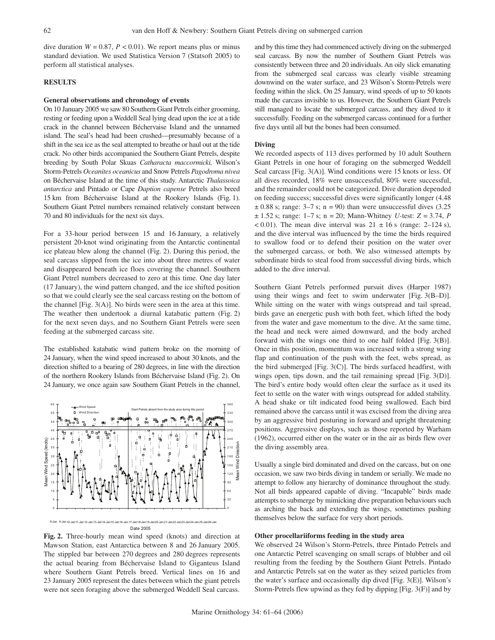dive duration  $W = 0.87$ ,  $P < 0.01$ ). We report means plus or minus standard deviation. We used Statistica Version 7 (Statsoft 2005) to perform all statistical analyses.

## **RESULTS**

#### **General observations and chronology of events**

On 10 January 2005 we saw 80 Southern Giant Petrels either grooming, resting or feeding upon a Weddell Seal lying dead upon the ice at a tide crack in the channel between Béchervaise Island and the unnamed island. The seal's head had been crushed—presumably because of a shift in the sea ice as the seal attempted to breathe or haul out at the tide crack. No other birds accompanied the Southern Giant Petrels, despite breeding by South Polar Skuas *Catharacta maccormicki,* Wilson's Storm-Petrels *Oceanites oceanicus* and Snow Petrels *Pagodroma nivea* on Béchervaise Island at the time of this study. Antarctic *Thalassoica antarctica* and Pintado or Cape *Daption capense* Petrels also breed 15 km from Béchervaise Island at the Rookery Islands (Fig. 1). Southern Giant Petrel numbers remained relatively constant between 70 and 80 individuals for the next six days.

For a 33-hour period between 15 and 16 January, a relatively persistent 20-knot wind originating from the Antarctic continental ice plateau blew along the channel (Fig. 2). During this period, the seal carcass slipped from the ice into about three metres of water and disappeared beneath ice floes covering the channel. Southern Giant Petrel numbers decreased to zero at this time. One day later (17 January), the wind pattern changed, and the ice shifted position so that we could clearly see the seal carcass resting on the bottom of the channel [Fig. 3(A)]. No birds were seen in the area at this time. The weather then undertook a diurnal katabatic pattern (Fig. 2) for the next seven days, and no Southern Giant Petrels were seen feeding at the submerged carcass site.

The established katabatic wind pattern broke on the morning of 24 January, when the wind speed increased to about 30 knots, and the direction shifted to a bearing of 280 degrees, in line with the direction of the northern Rookery Islands from Béchervaise Island (Fig. 2). On 24 January, we once again saw Southern Giant Petrels in the channel,



**Fig. 2.** Three-hourly mean wind speed (knots) and direction at Mawson Station, east Antarctica between 8 and 26 January 2005. The stippled bar between 270 degrees and 280 degrees represents the actual bearing from Béchervaise Island to Giganteus Island where Southern Giant Petrels breed. Vertical lines on 16 and 23 January 2005 represent the dates between which the giant petrels were not seen foraging above the submerged Weddell Seal carcass.

and by this time they had commenced actively diving on the submerged seal carcass. By now the number of Southern Giant Petrels was consistently between three and 20 individuals. An oily slick emanating from the submerged seal carcass was clearly visible streaming downwind on the water surface, and 23 Wilson's Storm-Petrels were feeding within the slick. On 25 January, wind speeds of up to 50 knots made the carcass invisible to us. However, the Southern Giant Petrels still managed to locate the submerged carcass, and they dived to it successfully. Feeding on the submerged carcass continued for a further five days until all but the bones had been consumed.

#### **Diving**

We recorded aspects of 113 dives performed by 10 adult Southern Giant Petrels in one hour of foraging on the submerged Weddell Seal carcass [Fig. 3(A)]. Wind conditions were 15 knots or less. Of all dives recorded, 18% were unsuccessful, 80% were successful, and the remainder could not be categorized. Dive duration depended on feeding success; successful dives were significantly longer (4.48  $\pm$  0.88 s; range: 3–7 s; n = 90) than were unsuccessful dives (3.25) ± 1.52 s; range: 1–7 s; n = 20; Mann-Whitney *U-*test: *Z* = 3.74, *P*  $< 0.01$ ). The mean dive interval was  $21 \pm 16$  s (range: 2–124 s), and the dive interval was influenced by the time the birds required to swallow food or to defend their position on the water over the submerged carcass, or both. We also witnessed attempts by subordinate birds to steal food from successful diving birds, which added to the dive interval.

Southern Giant Petrels performed pursuit dives (Harper 1987) using their wings and feet to swim underwater [Fig. 3(B–D)]. While sitting on the water with wings outspread and tail spread, birds gave an energetic push with both feet, which lifted the body from the water and gave momentum to the dive. At the same time, the head and neck were aimed downward, and the body arched forward with the wings one third to one half folded [Fig. 3(B)]. Once in this position, momentum was increased with a strong wing flap and continuation of the push with the feet, webs spread, as the bird submerged [Fig. 3(C)]. The birds surfaced headfirst, with wings open, tips down, and the tail remaining spread [Fig. 3(D)]. The bird's entire body would often clear the surface as it used its feet to settle on the water with wings outspread for added stability. A head shake or tilt indicated food being swallowed. Each bird remained above the carcass until it was excised from the diving area by an aggressive bird posturing in forward and upright threatening positions. Aggressive displays, such as those reported by Warham (1962), occurred either on the water or in the air as birds flew over the diving assembly area.

Usually a single bird dominated and dived on the carcass, but on one occasion, we saw two birds diving in tandem or serially. We made no attempt to follow any hierarchy of dominance throughout the study. Not all birds appeared capable of diving. "Incapable" birds made attempts to submerge by mimicking dive preparation behaviours such as arching the back and extending the wings, sometimes pushing themselves below the surface for very short periods.

## **Other procellariiforms feeding in the study area**

We observed 24 Wilson's Storm-Petrels, three Pintado Petrels and one Antarctic Petrel scavenging on small scraps of blubber and oil resulting from the feeding by the Southern Giant Petrels. Pintado and Antarctic Petrels sat on the water as they seized particles from the water's surface and occasionally dip dived [Fig. 3(E)]. Wilson's Storm-Petrels flew upwind as they fed by dipping [Fig. 3(F)] and by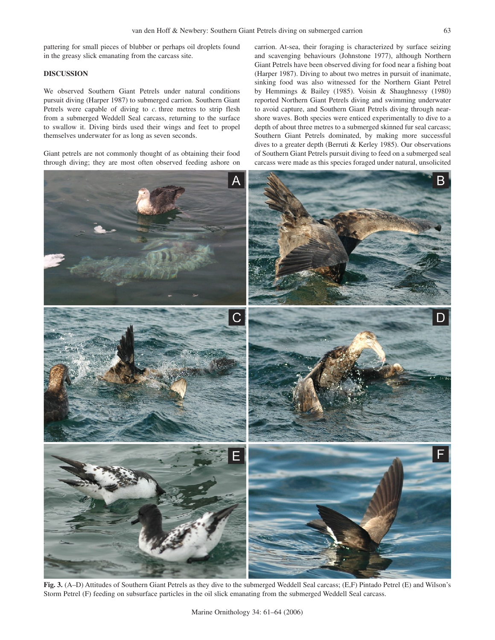pattering for small pieces of blubber or perhaps oil droplets found in the greasy slick emanating from the carcass site.

# **DISCUSSION**

We observed Southern Giant Petrels under natural conditions pursuit diving (Harper 1987) to submerged carrion. Southern Giant Petrels were capable of diving to *c.* three metres to strip flesh from a submerged Weddell Seal carcass, returning to the surface to swallow it. Diving birds used their wings and feet to propel themselves underwater for as long as seven seconds.

Giant petrels are not commonly thought of as obtaining their food through diving; they are most often observed feeding ashore on

carrion. At-sea, their foraging is characterized by surface seizing and scavenging behaviours (Johnstone 1977), although Northern Giant Petrels have been observed diving for food near a fishing boat (Harper 1987). Diving to about two metres in pursuit of inanimate, sinking food was also witnessed for the Northern Giant Petrel by Hemmings & Bailey (1985). Voisin & Shaughnessy (1980) reported Northern Giant Petrels diving and swimming underwater to avoid capture, and Southern Giant Petrels diving through nearshore waves. Both species were enticed experimentally to dive to a depth of about three metres to a submerged skinned fur seal carcass; Southern Giant Petrels dominated, by making more successful dives to a greater depth (Berruti & Kerley 1985). Our observations of Southern Giant Petrels pursuit diving to feed on a submerged seal carcass were made as this species foraged under natural, unsolicited



**Fig. 3.** (A–D) Attitudes of Southern Giant Petrels as they dive to the submerged Weddell Seal carcass; (E,F) Pintado Petrel (E) and Wilson's Storm Petrel (F) feeding on subsurface particles in the oil slick emanating from the submerged Weddell Seal carcass.